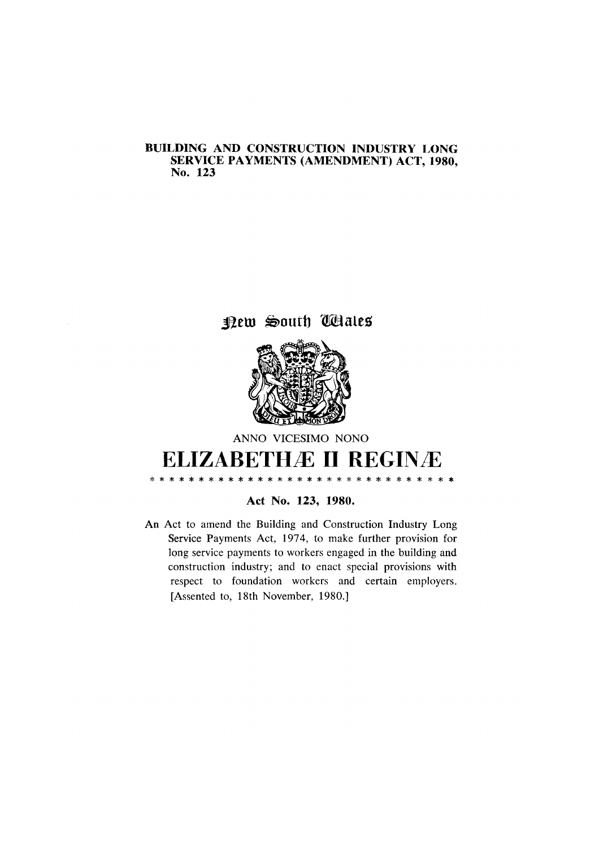# BUILDING AND CONSTRUCTION INDUSTRY LONG SERVICE PAYMENTS (AMENDMENT) ACT, 1980, No. 123

# new South Wales



# ANNO VICESIMO NONO **ELIZABETHÆ II REGINÆ**

 $\ast$ 

 $\star$ 

\* \* \* \* \* \* \* \* \* \*

# Act No. 123, 1980.

\* \* \* \* \* \* \*

\* \* \* \* \*

 $\star$ 

An Act to amend the Building and Construction Industry Long Service Payments Act, 1974, to make further provision for long service payments to workers engaged in the building and construction industry; and to enact special provisions with respect to foundation workers and certain employers. [Assented to, 18th November, 1980.]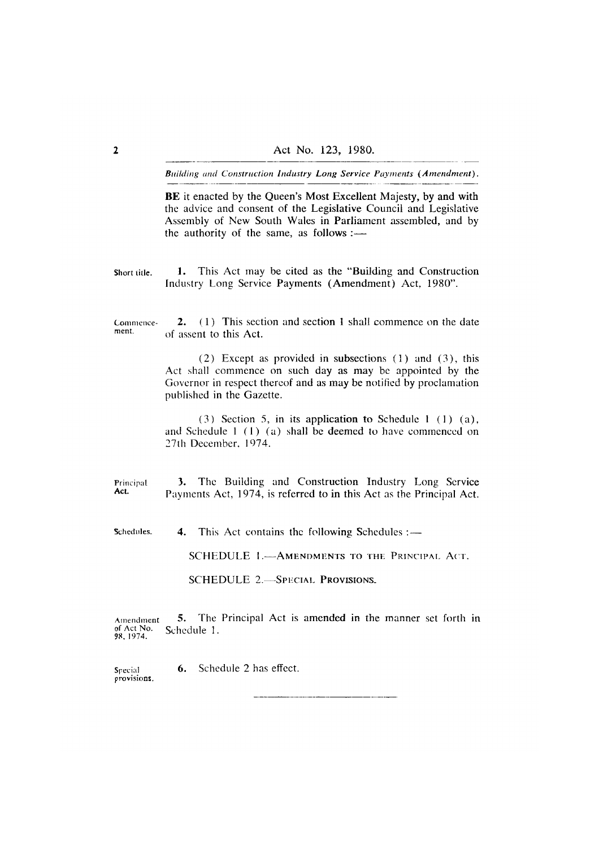BE it enacted by the Queen's Most Excellent Majesty, by and with the advice and consent of the Legislative Council and Legislative Assembly of New South Wales in Parliament assembled, and by the authority of the same, as follows :-

1. This Act may be cited as the "Building and Construction Short title. Industry Long Service Payments (Amendment) Act. 1980".

(1) This section and section 1 shall commence on the date  $2.$ Commencement. of assent to this Act.

> $(2)$  Except as provided in subsections  $(1)$  and  $(3)$ , this Act shall commence on such day as may be appointed by the Governor in respect thereof and as may be notified by proclamation published in the Gazette.

> $(3)$  Section 5, in its application to Schedule 1  $(1)$   $(a)$ , and Schedule 1 (1) (a) shall be deemed to have commenced on 27th December, 1974.

The Building and Construction Industry Long Service Principal  $3.$ Act. Payments Act, 1974, is referred to in this Act as the Principal Act.

Schedules. This Act contains the following Schedules :-4.

SCHEDULE 1.- AMENDMENTS TO THE PRINCIPAL ACT.

**SCHEDULE 2.-SPECIAL PROVISIONS.** 

5. The Principal Act is amended in the manner set forth in Amendment of Act No.<br>98, 1974. Schedule 1.

Schedule 2 has effect. 6. Snecial provisions.

 $\overline{\mathbf{2}}$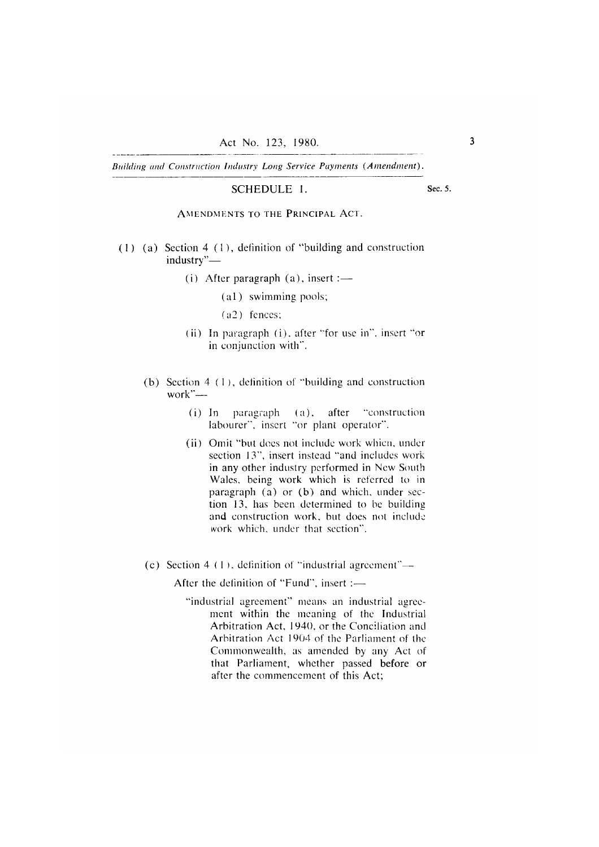#### SCHEDULE 1.

Sec. 5.

AMENDMENTS TO THE PRINCIPAL ACT.

- $(1)$  (a) Section 4 (1), definition of "building and construction industry"-
	- (i) After paragraph  $(a)$ , insert :-
		- (a1) swimming pools;
		- $(a2)$  fences;
	- (ii) In paragraph (i), after "for use in", insert "or in conjunction with".
	- (b) Section  $4(1)$ , definition of "building and construction work" $-$ 
		- $(i)$  In paragraph  $(a)$ , after "construction" labourer", insert "or plant operator".
		- (ii) Omit "but does not include work which, under section 13", insert instead "and includes work in any other industry performed in New South Wales, being work which is referred to in paragraph (a) or (b) and which, under section 13, has been determined to be building and construction work, but does not include work which, under that section".
	- (c) Section 4  $(1)$ , definition of "industrial agreement"—

After the definition of "Fund", insert :-

"industrial agreement" means an industrial agreement within the meaning of the Industrial Arbitration Act, 1940, or the Conciliation and Arbitration Act 1904 of the Parliament of the Commonwealth, as amended by any Act of that Parliament, whether passed before or after the commencement of this Act: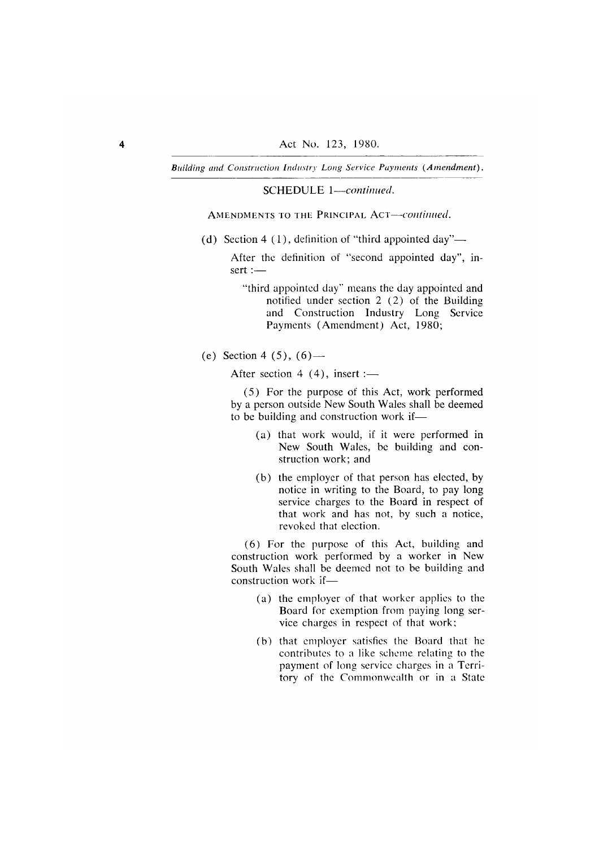SCHEDULE 1-continued.

AMENDMENTS TO THE PRINCIPAL ACT-continued.

(d) Section 4 (1), definition of "third appointed day"—

After the definition of "second appointed day", in- $\text{sort} :=$ 

"third appointed day" means the day appointed and notified under section  $2(2)$  of the Building and Construction Industry Long Service Payments (Amendment) Act, 1980;

(e) Section 4 (5),  $(6)$ —

After section 4  $(4)$ , insert :-

(5) For the purpose of this Act, work performed by a person outside New South Wales shall be deemed to be building and construction work if-

- (a) that work would, if it were performed in New South Wales, be building and construction work; and
- (b) the employer of that person has elected, by notice in writing to the Board, to pay long service charges to the Board in respect of that work and has not, by such a notice, revoked that election.

(6) For the purpose of this Act, building and construction work performed by a worker in New South Wales shall be deemed not to be building and construction work if-

- (a) the employer of that worker applies to the Board for exemption from paying long service charges in respect of that work;
- (b) that employer satisfies the Board that he contributes to a like scheme relating to the payment of long service charges in a Territory of the Commonwealth or in a State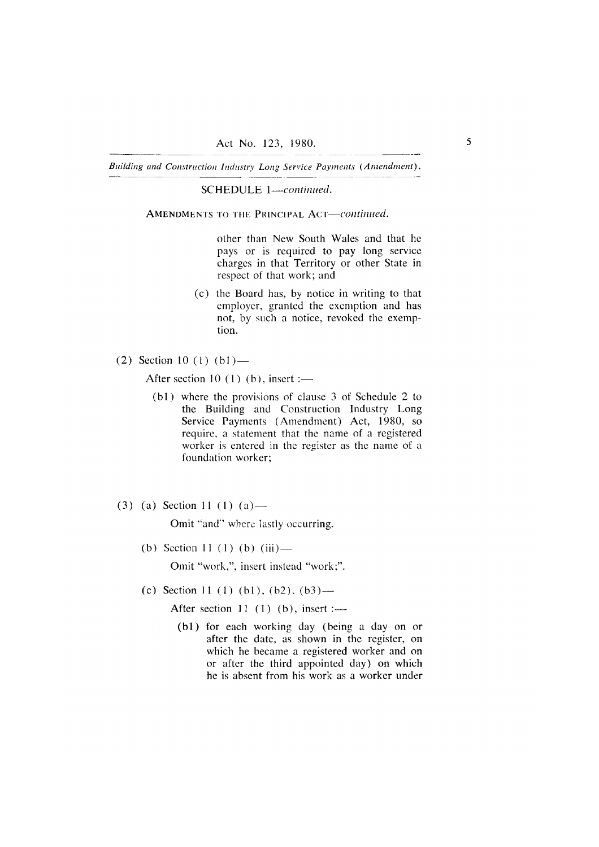SCHEDULE 1-continued.

AMENDMENTS TO THE PRINCIPAL ACT-continued.

other than New South Wales and that he pays or is required to pay long service charges in that Territory or other State in respect of that work; and

- (c) the Board has, by notice in writing to that employer, granted the exemption and has not, by such a notice, revoked the exemption.
- (2) Section 10 (1)  $(b1)$ —

After section 10 (1) (b), insert :—

- (b1) where the provisions of clause 3 of Schedule 2 to the Building and Construction Industry Long Service Payments (Amendment) Act, 1980, so require, a statement that the name of a registered worker is entered in the register as the name of a foundation worker;
- $(3)$  (a) Section 11 (1) (a) —

Omit "and" where lastly occurring.

(b) Section 11 (1) (b) (iii) —

Omit "work,", insert instead "work;".

(c) Section 11 (1) (b1), (b2), (b3) —

After section 11  $(1)$   $(b)$ , insert :-

(b1) for each working day (being a day on or after the date, as shown in the register, on which he became a registered worker and on or after the third appointed day) on which he is absent from his work as a worker under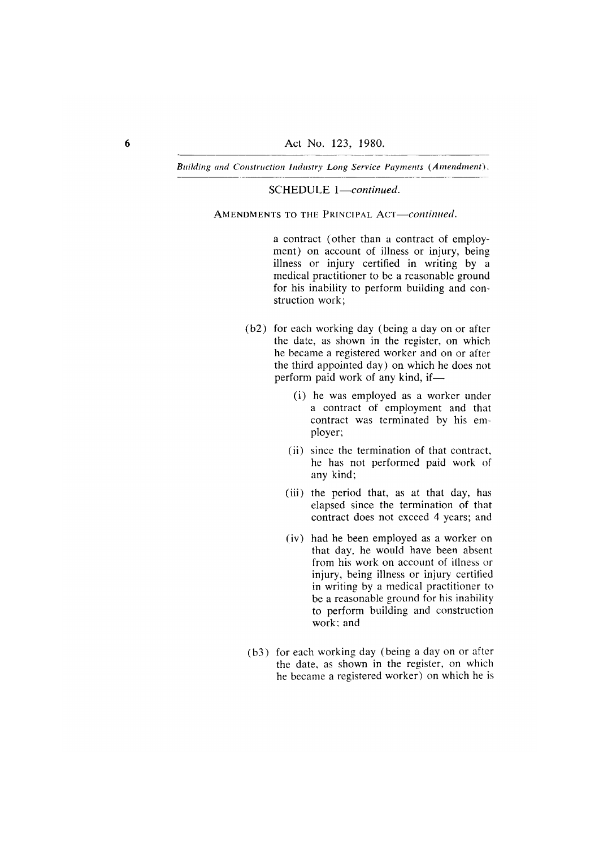### SCHEDULE 1-continued.

AMENDMENTS TO THE PRINCIPAL ACT-continued.

a contract (other than a contract of employment) on account of illness or injury, being illness or injury certified in writing by a medical practitioner to be a reasonable ground for his inability to perform building and construction work:

- (b2) for each working day (being a day on or after the date, as shown in the register, on which he became a registered worker and on or after the third appointed day) on which he does not perform paid work of any kind, if-
	- (i) he was employed as a worker under a contract of employment and that contract was terminated by his employer;
	- (ii) since the termination of that contract, he has not performed paid work of any kind;
	- (iii) the period that, as at that day, has elapsed since the termination of that contract does not exceed 4 years; and
	- (iv) had he been employed as a worker on that day, he would have been absent from his work on account of illness or injury, being illness or injury certified in writing by a medical practitioner to be a reasonable ground for his inability to perform building and construction  $work:$  and
- (b3) for each working day (being a day on or after the date, as shown in the register, on which he became a registered worker) on which he is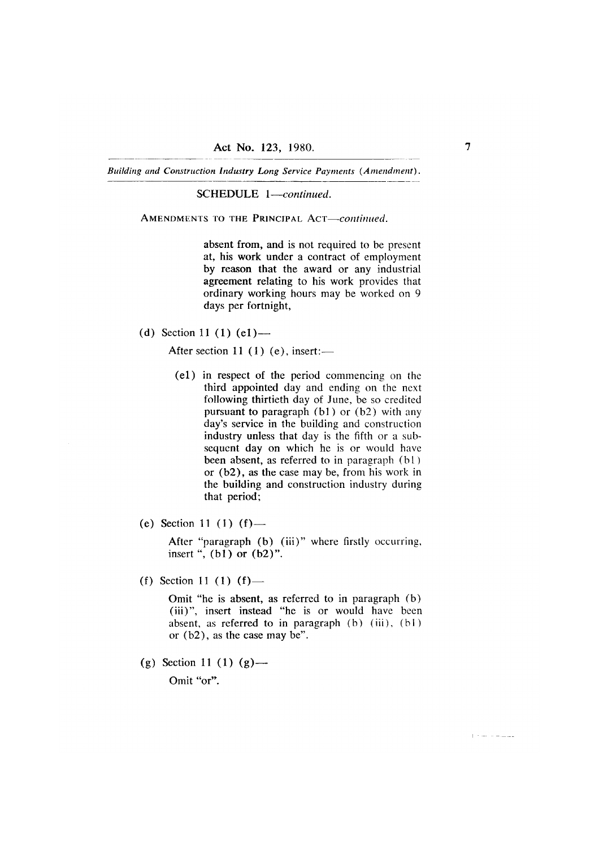SCHEDULE 1-continued.

AMENDMENTS TO THE PRINCIPAL ACT-continued.

absent from, and is not required to be present at, his work under a contract of employment by reason that the award or any industrial agreement relating to his work provides that ordinary working hours may be worked on 9 days per fortnight,

(d) Section 11 (1)  $(e1)$  —

After section 11  $(1)$  (e), insert:-

- (e1) in respect of the period commencing on the third appointed day and ending on the next following thirtieth day of June, be so credited pursuant to paragraph  $(b1)$  or  $(b2)$  with any day's service in the building and construction industry unless that day is the fifth or a subsequent day on which he is or would have been absent, as referred to in paragraph (b1) or  $(b2)$ , as the case may be, from his work in the building and construction industry during that period;
- (e) Section 11 (1) (f) —

After "paragraph (b) (iii)" where firstly occurring, insert ",  $(b1)$  or  $(b2)$ ".

(f) Section 11 (1)  $(f)$  —

Omit "he is absent, as referred to in paragraph (b) (iii)", insert instead "he is or would have been absent, as referred to in paragraph (b) (iii), (b1) or  $(b2)$ , as the case may be".

(g) Section 11 (1) (g) —

Omit "or".

 $\mathbb{R}^n$  , where  $\mathbb{R}^n$  and  $\mathbb{R}^n$  and  $\mathbb{R}^n$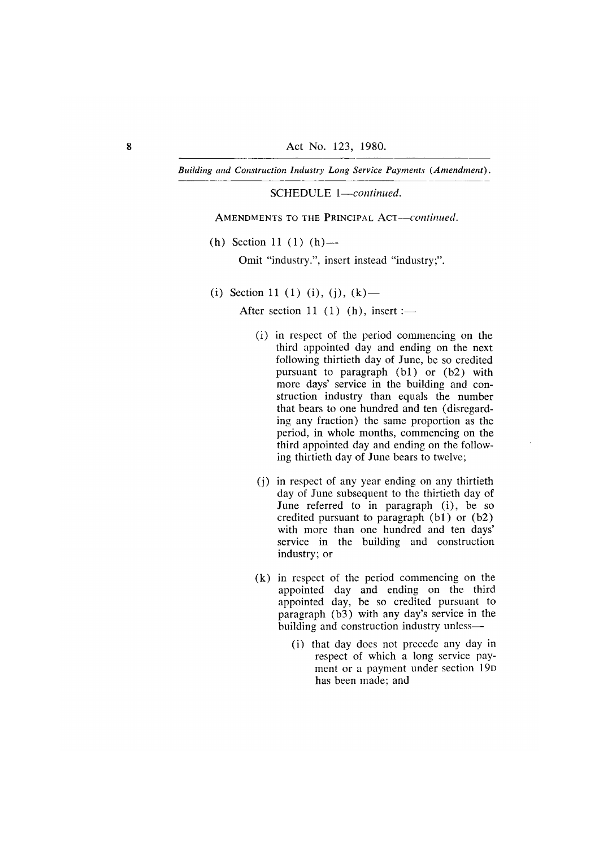SCHEDULE 1-continued.

AMENDMENTS TO THE PRINCIPAL ACT-continued.

(h) Section 11 (1) (h) —

Omit "industry.", insert instead "industry;".

(i) Section 11 (1) (i), (j), (k) —

After section 11  $(1)$   $(h)$ , insert :-

- (i) in respect of the period commencing on the third appointed day and ending on the next following thirtieth day of June, be so credited pursuant to paragraph (b1) or (b2) with more days' service in the building and construction industry than equals the number that bears to one hundred and ten (disregarding any fraction) the same proportion as the period, in whole months, commencing on the third appointed day and ending on the following thirtieth day of June bears to twelve;
- (i) in respect of any year ending on any thirtieth day of June subsequent to the thirtieth day of June referred to in paragraph (i), be so credited pursuant to paragraph (b1) or (b2) with more than one hundred and ten days' service in the building and construction industry; or
- $(k)$  in respect of the period commencing on the appointed day and ending on the third appointed day, be so credited pursuant to paragraph (b3) with any day's service in the building and construction industry unless-
	- (i) that day does not precede any day in respect of which a long service payment or a payment under section 19D has been made; and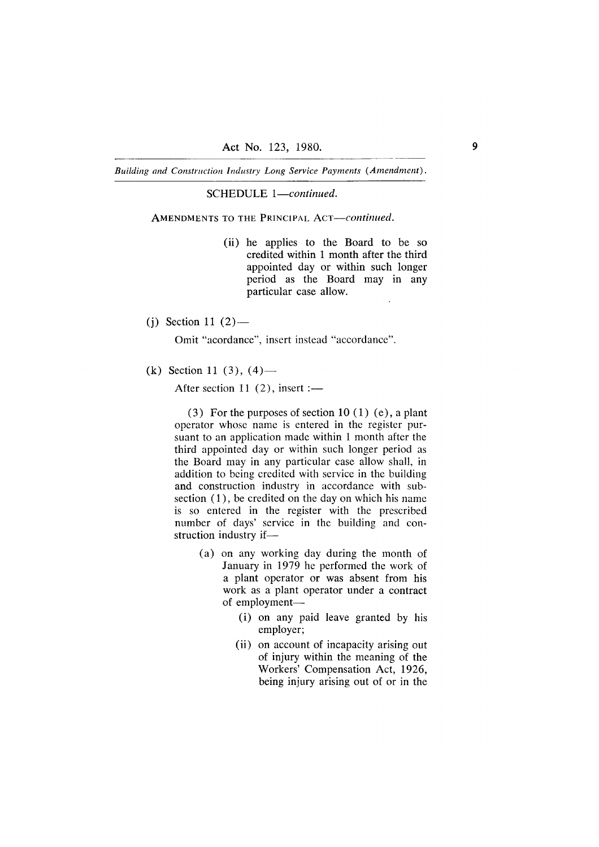SCHEDULE 1-continued.

AMENDMENTS TO THE PRINCIPAL ACT-continued.

- (ii) he applies to the Board to be so credited within 1 month after the third appointed day or within such longer period as the Board may in any particular case allow.
- (i) Section 11  $(2)$ —

Omit "acordance", insert instead "accordance".

(k) Section 11 (3),  $(4)$ —

After section 11  $(2)$ , insert :-

 $(3)$  For the purposes of section 10 (1) (e), a plant operator whose name is entered in the register pursuant to an application made within 1 month after the third appointed day or within such longer period as the Board may in any particular case allow shall, in addition to being credited with service in the building and construction industry in accordance with subsection  $(1)$ , be credited on the day on which his name is so entered in the register with the prescribed number of days' service in the building and construction industry if-

- (a) on any working day during the month of January in 1979 he performed the work of a plant operator or was absent from his work as a plant operator under a contract of employment-
	- (i) on any paid leave granted by his employer;
	- (ii) on account of incapacity arising out of injury within the meaning of the Workers' Compensation Act, 1926, being injury arising out of or in the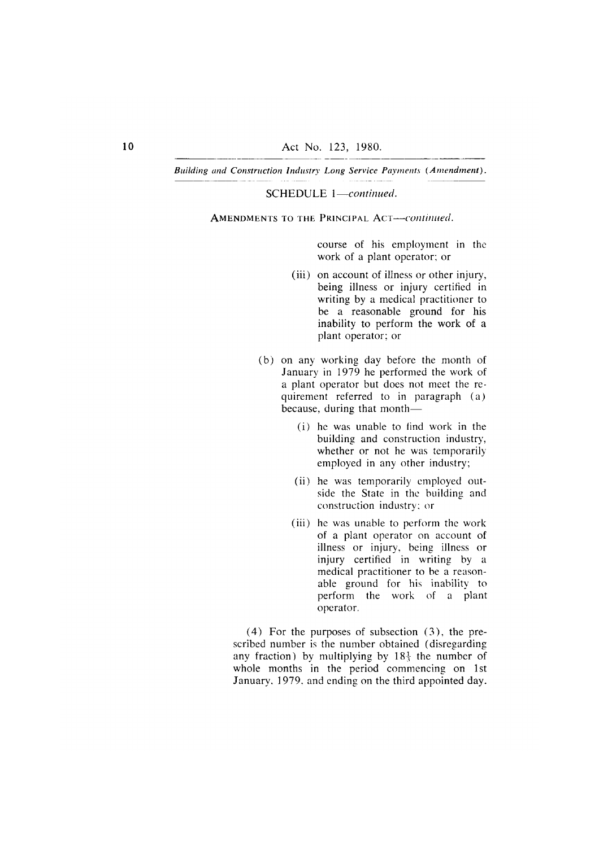SCHEDULE 1-continued.

AMENDMENTS TO THE PRINCIPAL ACT--continued.

course of his employment in the work of a plant operator; or

- (iii) on account of illness or other injury, being illness or injury certified in writing by a medical practitioner to be a reasonable ground for his inability to perform the work of a plant operator; or
- (b) on any working day before the month of January in 1979 he performed the work of a plant operator but does not meet the requirement referred to in paragraph (a) because, during that month—
	- (i) he was unable to find work in the building and construction industry, whether or not he was temporarily employed in any other industry;
	- (ii) he was temporarily employed outside the State in the building and construction industry; or
	- (iii) he was unable to perform the work of a plant operator on account of illness or injury, being illness or injury certified in writing by a medical practitioner to be a reasonable ground for his inability to perform the work of a plant operator.

 $(4)$  For the purposes of subsection  $(3)$ , the prescribed number is the number obtained (disregarding any fraction) by multiplying by  $18\frac{1}{3}$  the number of whole months in the period commencing on 1st January, 1979, and ending on the third appointed day.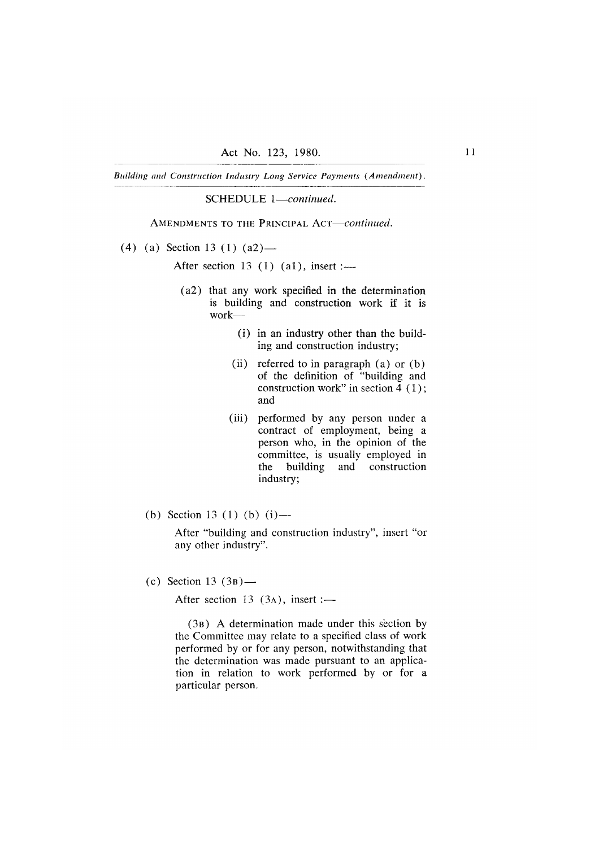SCHEDULE 1-continued.

AMENDMENTS TO THE PRINCIPAL ACT-continued.

(4) (a) Section 13 (1) (a2) —

After section 13  $(1)$   $(a1)$ , insert :-

- (a2) that any work specified in the determination is building and construction work if it is  $work$ -
	- (i) in an industry other than the building and construction industry;
	- (ii) referred to in paragraph  $(a)$  or  $(b)$ of the definition of "building and construction work" in section  $\overline{4}$  (1); and
	- (iii) performed by any person under a contract of employment, being a person who, in the opinion of the committee, is usually employed in building and construction the industry;
- (b) Section 13 (1) (b) (i) —

After "building and construction industry", insert "or any other industry".

(c) Section 13  $(3B)$ —

After section 13  $(3a)$ , insert :-

(3B) A determination made under this section by the Committee may relate to a specified class of work performed by or for any person, notwithstanding that the determination was made pursuant to an application in relation to work performed by or for a particular person.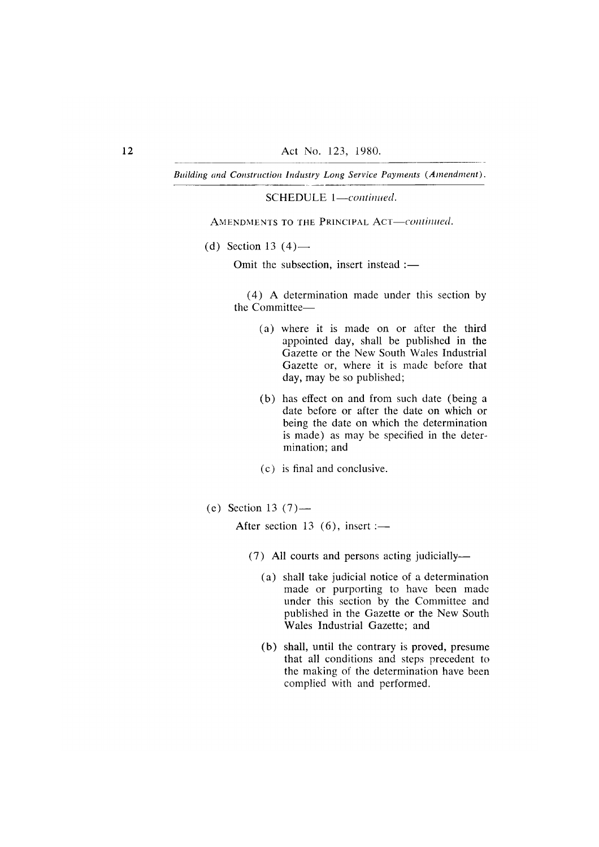SCHEDULE 1-continued.

AMENDMENTS TO THE PRINCIPAL ACT-continued.

(d) Section 13  $(4)$ —

Omit the subsection, insert instead :-

(4) A determination made under this section by the Committee-

- (a) where it is made on or after the third appointed day, shall be published in the Gazette or the New South Wales Industrial Gazette or, where it is made before that day, may be so published;
- (b) has effect on and from such date (being a date before or after the date on which or being the date on which the determination is made) as may be specified in the determination: and
- (c) is final and conclusive.
- (e) Section 13  $(7)$  —

After section 13  $(6)$ , insert :-

- (7) All courts and persons acting judicially—
	- (a) shall take judicial notice of a determination made or purporting to have been made under this section by the Committee and published in the Gazette or the New South Wales Industrial Gazette; and
	- (b) shall, until the contrary is proved, presume that all conditions and steps precedent to the making of the determination have been complied with and performed.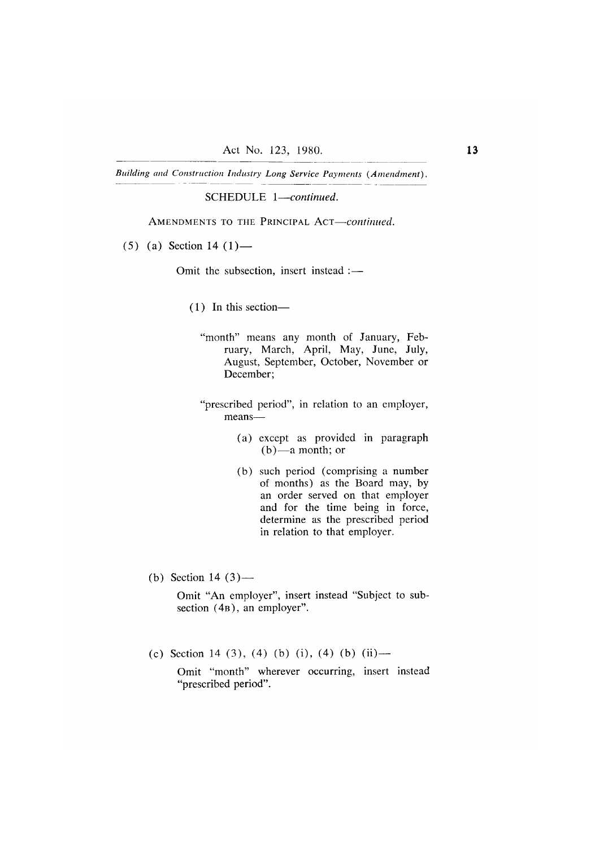SCHEDULE 1-continued.

AMENDMENTS TO THE PRINCIPAL ACT-continued.

 $(5)$  (a) Section 14 (1) —

Omit the subsection, insert instead :-

- $(1)$  In this section-
	- "month" means any month of January, February, March, April, May, June, July, August, September, October, November or December;
	- "prescribed period", in relation to an employer, means—
		- (a) except as provided in paragraph  $(b)$ —a month; or
		- (b) such period (comprising a number of months) as the Board may, by an order served on that employer and for the time being in force, determine as the prescribed period in relation to that employer.
- (b) Section 14  $(3)$ —

Omit "An employer", insert instead "Subject to subsection (4B), an employer".

(c) Section 14 (3), (4) (b) (i), (4) (b) (ii) —

Omit "month" wherever occurring, insert instead "prescribed period".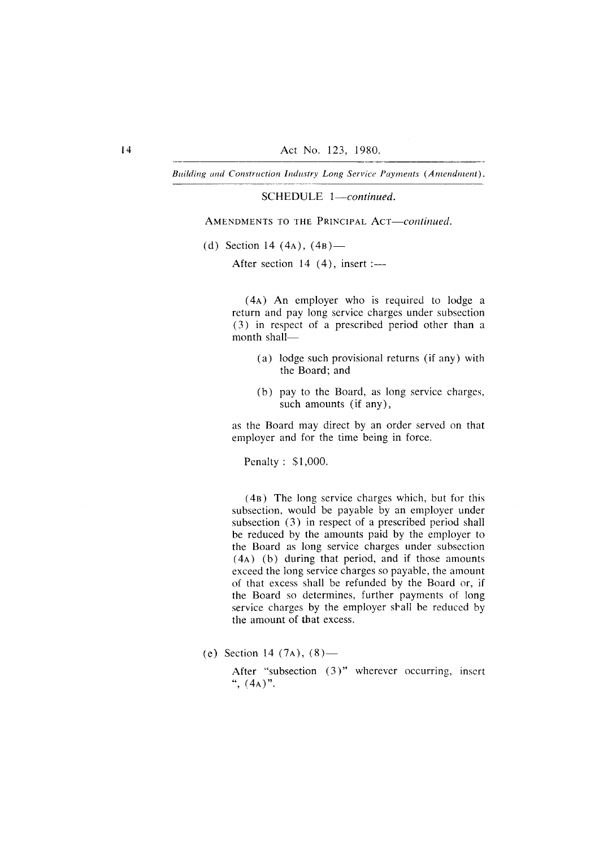SCHEDULE 1-continued.

AMENDMENTS TO THE PRINCIPAL ACT-continued.

(d) Section 14 (4A),  $(4B)$ —

After section  $14(4)$ , insert :-

(4A) An employer who is required to lodge a return and pay long service charges under subsection (3) in respect of a prescribed period other than a month shall-

- (a) lodge such provisional returns (if any) with the Board: and
- (b) pay to the Board, as long service charges, such amounts (if any),

as the Board may direct by an order served on that employer and for the time being in force.

Penalty: \$1,000.

(4B) The long service charges which, but for this subsection, would be payable by an employer under subsection (3) in respect of a prescribed period shall be reduced by the amounts paid by the employer to the Board as long service charges under subsection  $(4A)$  (b) during that period, and if those amounts exceed the long service charges so payable, the amount of that excess shall be refunded by the Board or, if the Board so determines, further payments of long service charges by the employer shall be reduced by the amount of that excess.

(e) Section 14  $(7a)$ ,  $(8)$ —

After "subsection (3)" wherever occurring, insert ",  $(4A)$ ".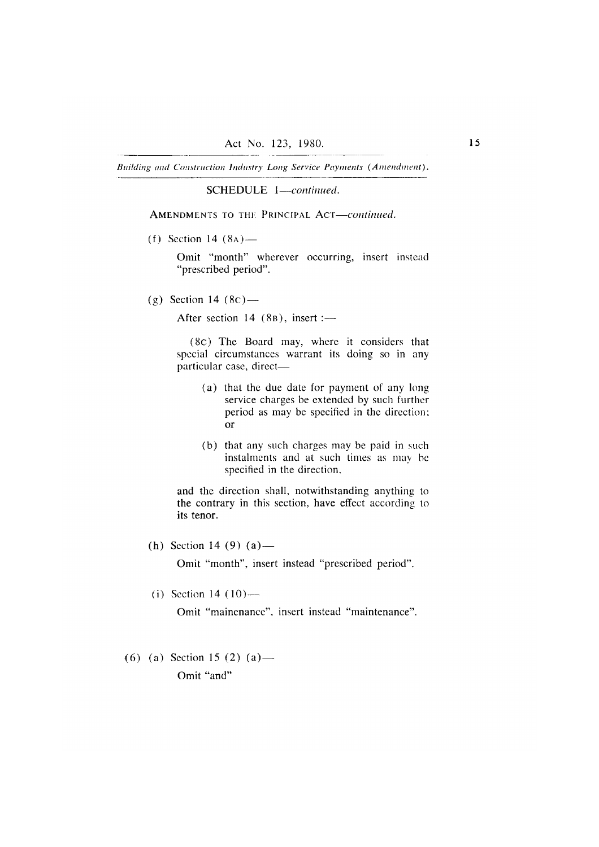SCHEDULE 1-continued.

AMENDMENTS TO THE PRINCIPAL ACT-continued.

(f) Section 14  $(8A)$  —

Omit "month" wherever occurring, insert instead "prescribed period".

(g) Section 14  $(8c)$  —

After section 14  $(8B)$ , insert :-

(8c) The Board may, where it considers that special circumstances warrant its doing so in any particular case, direct-

- (a) that the due date for payment of any long service charges be extended by such further period as may be specified in the direction; **or**
- (b) that any such charges may be paid in such instalments and at such times as may be specified in the direction.

and the direction shall, notwithstanding anything to the contrary in this section, have effect according to its tenor.

(h) Section 14 (9) (a) —

Omit "month", insert instead "prescribed period".

(i) Section 14  $(10)$  —

Omit "mainenance", insert instead "maintenance".

(6) (a) Section 15 (2) (a) — Omit "and"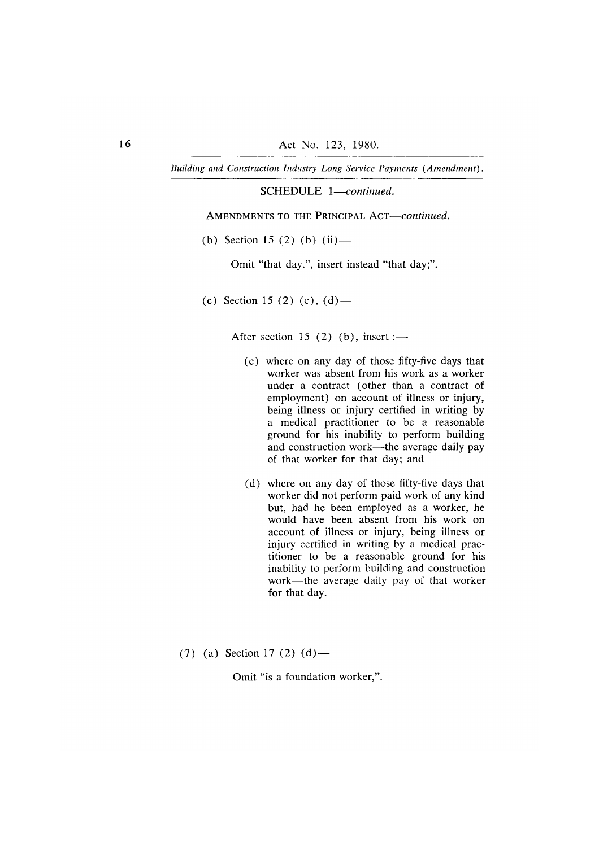SCHEDULE 1-continued.

AMENDMENTS TO THE PRINCIPAL ACT-continued.

(b) Section 15 (2) (b) (ii) —

Omit "that day.", insert instead "that day;".

(c) Section 15 (2) (c), (d) —

After section 15 (2) (b), insert :-

- (c) where on any day of those fifty-five days that worker was absent from his work as a worker under a contract (other than a contract of employment) on account of illness or injury, being illness or injury certified in writing by a medical practitioner to be a reasonable ground for his inability to perform building and construction work—the average daily pay of that worker for that day; and
- (d) where on any day of those fifty-five days that worker did not perform paid work of any kind but, had he been employed as a worker, he would have been absent from his work on account of illness or injury, being illness or injury certified in writing by a medical practitioner to be a reasonable ground for his inability to perform building and construction work—the average daily pay of that worker for that day.
- $(7)$  (a) Section 17 (2) (d) —

Omit "is a foundation worker,".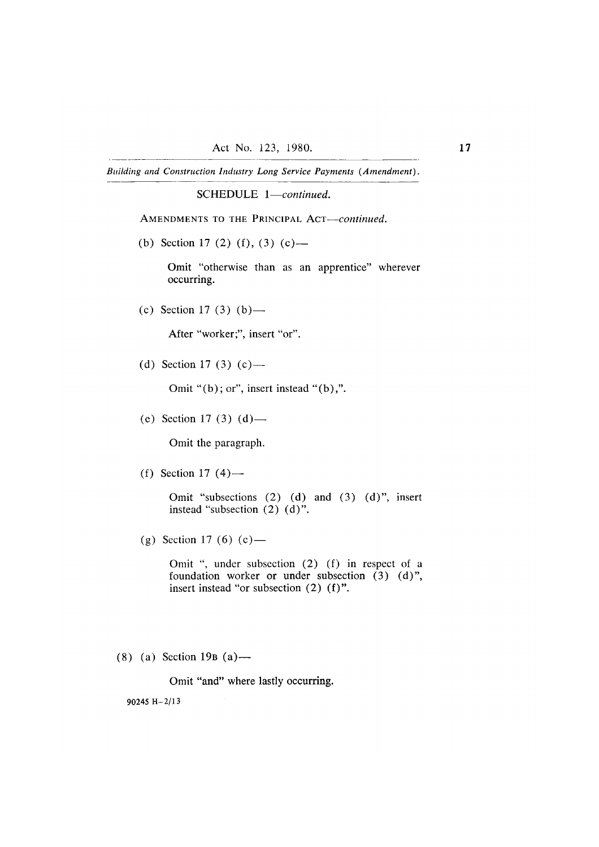SCHEDULE 1-continued.

AMENDMENTS TO THE PRINCIPAL ACT-continued.

(b) Section 17 (2) (f), (3) (c) —

Omit "otherwise than as an apprentice" wherever occurring.

(c) Section 17 (3) (b) —

After "worker;", insert "or".

(d) Section 17 (3) (c) —

Omit " $(b)$ ; or", insert instead " $(b)$ ,".

(e) Section 17 (3) (d) —

Omit the paragraph.

(f) Section 17  $(4)$ —

Omit "subsections (2) (d) and (3) (d)", insert instead "subsection  $(2)$   $(d)$ ".

(g) Section 17 (6) (c) —

Omit ", under subsection (2) (f) in respect of a foundation worker or under subsection (3) (d)", insert instead "or subsection  $(2)$   $(f)$ ".

 $(8)$  (a) Section 19B (a) —

Omit "and" where lastly occurring.

90245 H $-2/13$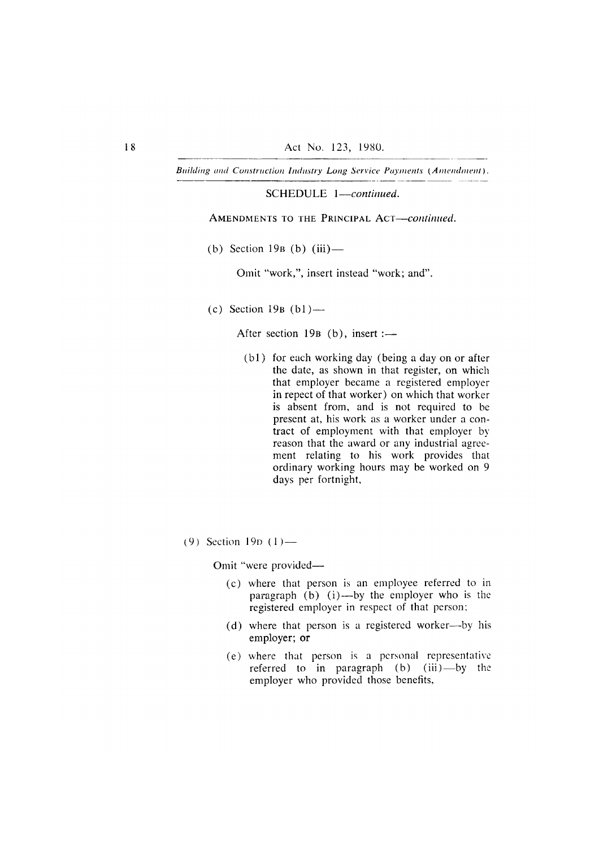SCHEDULE 1-continued.

AMENDMENTS TO THE PRINCIPAL ACT-continued.

(b) Section 19 $B$  (b) (iii) —

Omit "work,", insert instead "work; and".

(c) Section 19 $B$  (b1) —

After section 19B (b), insert :-

- (b1) for each working day (being a day on or after the date, as shown in that register, on which that employer became a registered employer in repect of that worker) on which that worker is absent from, and is not required to be present at, his work as a worker under a contract of employment with that employer by reason that the award or any industrial agreement relating to his work provides that ordinary working hours may be worked on 9 days per fortnight,
- $(9)$  Section 19p  $(1)$ —

Omit "were provided-

- (c) where that person is an employee referred to in paragraph (b)  $(i)$ —by the employer who is the registered employer in respect of that person;
- (d) where that person is a registered worker—by his employer; or
- (e) where that person is a personal representative referred to in paragraph  $(b)$   $(iii)$ —by the employer who provided those benefits,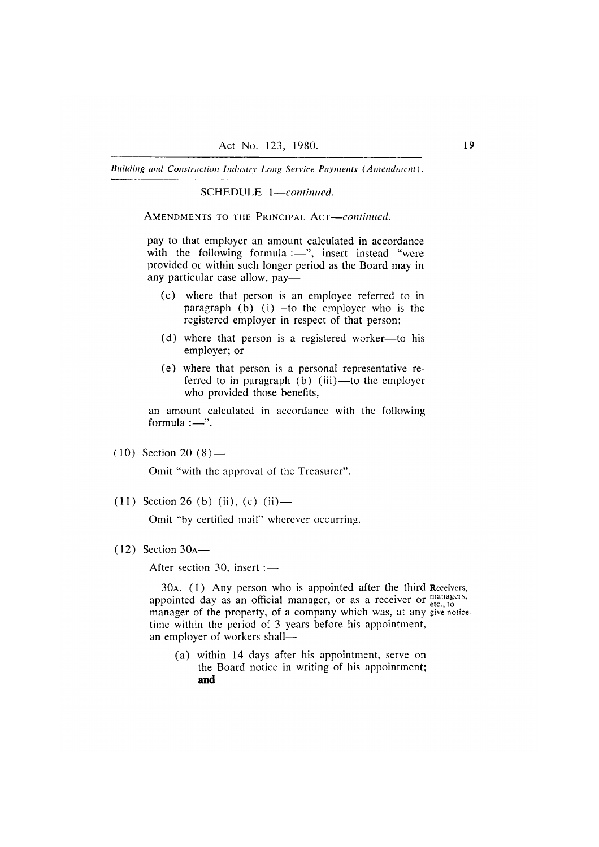SCHEDULE 1-continued.

AMENDMENTS TO THE PRINCIPAL ACT-continued.

pay to that employer an amount calculated in accordance with the following formula :- ", insert instead "were provided or within such longer period as the Board may in any particular case allow, pay-

- (c) where that person is an employee referred to in paragraph  $(b)$   $(i)$ —to the employer who is the registered employer in respect of that person;
- (d) where that person is a registered worker—to his employer; or
- (e) where that person is a personal representative referred to in paragraph  $(b)$  (iii)—to the employer who provided those benefits,

an amount calculated in accordance with the following formula  $:$ —".

 $(10)$  Section 20  $(8)$  —

Omit "with the approval of the Treasurer".

 $(11)$  Section 26 (b) (ii), (c) (ii) —

Omit "by certified mail" wherever occurring.

 $(12)$  Section 30<sub>A</sub> —

After section 30, insert :-

30A. (1) Any person who is appointed after the third Receivers, appointed day as an official manager, or as a receiver or etc., to manager of the property, of a company which was, at any give notice. time within the period of 3 years before his appointment, an employer of workers shall-

(a) within 14 days after his appointment, serve on the Board notice in writing of his appointment; and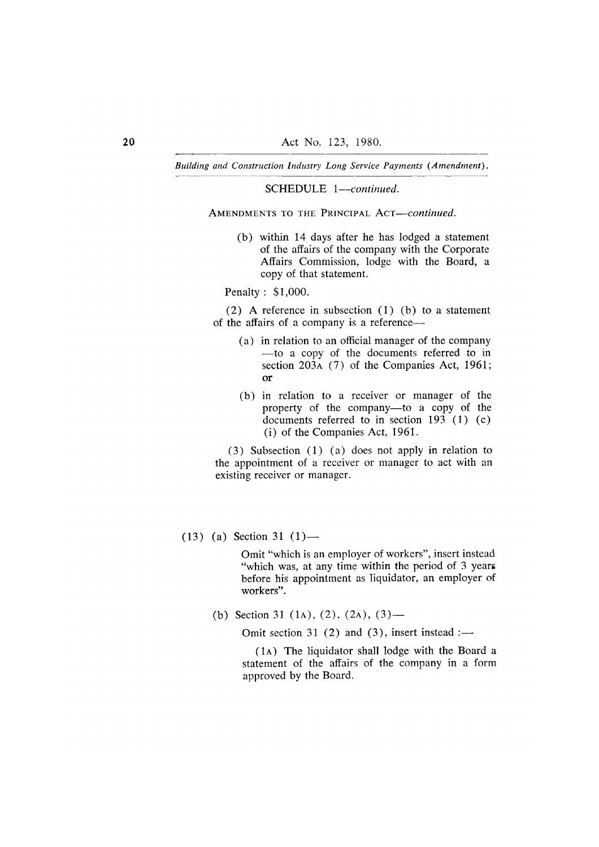SCHEDULE 1-continued.

AMENDMENTS TO THE PRINCIPAL ACT-continued.

(b) within 14 days after he has lodged a statement of the affairs of the company with the Corporate Affairs Commission, lodge with the Board, a copy of that statement.

Penalty: \$1,000.

(2) A reference in subsection  $(1)$  (b) to a statement of the affairs of a company is a reference—

- (a) in relation to an official manager of the company -to a copy of the documents referred to in section 203A (7) of the Companies Act, 1961;  $\overline{\text{or}}$
- (b) in relation to a receiver or manager of the property of the company-to a copy of the documents referred to in section  $193$  (1) (c) (i) of the Companies Act, 1961.

 $(3)$  Subsection  $(1)$   $(a)$  does not apply in relation to the appointment of a receiver or manager to act with an existing receiver or manager.

 $(13)$  (a) Section 31  $(1)$ —

Omit "which is an employer of workers", insert instead "which was, at any time within the period of 3 years before his appointment as liquidator, an employer of workers".

(b) Section 31 (1A), (2), (2A), (3) —

Omit section 31 (2) and (3), insert instead : $\rightarrow$ 

(1A) The liquidator shall lodge with the Board a statement of the affairs of the company in a form approved by the Board.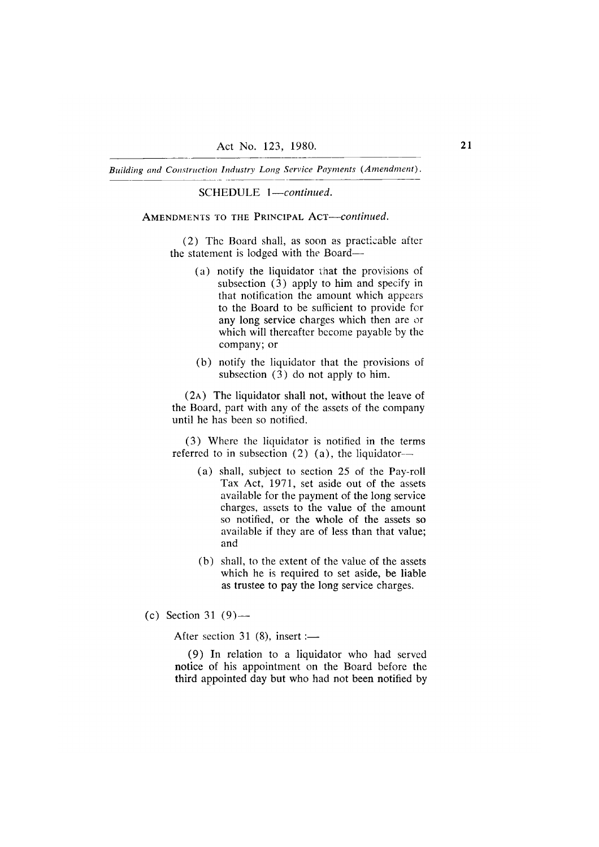SCHEDULE 1-continued.

# AMENDMENTS TO THE PRINCIPAL ACT-continued.

(2) The Board shall, as soon as practicable after the statement is lodged with the Board-

- (a) notify the liquidator that the provisions of subsection  $(3)$  apply to him and specify in that notification the amount which appears to the Board to be sufficient to provide for any long service charges which then are or which will thereafter become payable by the company; or
- (b) notify the liquidator that the provisions of subsection  $(3)$  do not apply to him.

(2A) The liquidator shall not, without the leave of the Board, part with any of the assets of the company until he has been so notified.

(3) Where the liquidator is notified in the terms referred to in subsection  $(2)$   $(a)$ , the liquidator-

- (a) shall, subject to section 25 of the Pay-roll Tax Act, 1971, set aside out of the assets available for the payment of the long service charges, assets to the value of the amount so notified, or the whole of the assets so available if they are of less than that value; and
- (b) shall, to the extent of the value of the assets which he is required to set aside, be liable as trustee to pay the long service charges.
- (c) Section 31  $(9)$ —

After section 31 (8), insert :-

(9) In relation to a liquidator who had served notice of his appointment on the Board before the third appointed day but who had not been notified by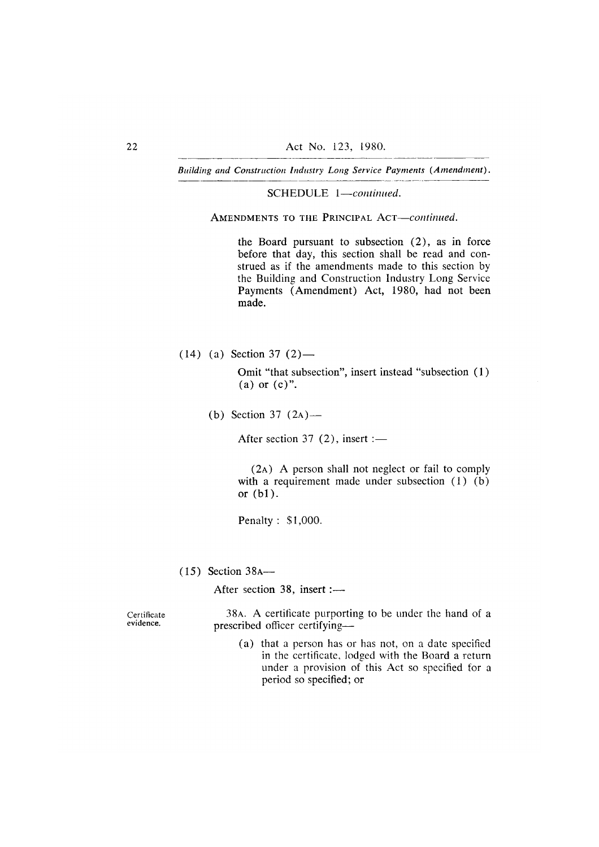SCHEDULE 1-continued.

AMENDMENTS TO THE PRINCIPAL ACT-continued.

the Board pursuant to subsection  $(2)$ , as in force before that day, this section shall be read and construed as if the amendments made to this section by the Building and Construction Industry Long Service Payments (Amendment) Act, 1980, had not been made.

 $(14)$  (a) Section 37 (2) —

Omit "that subsection", insert instead "subsection (1)  $(a)$  or  $(c)$ ".

(b) Section 37  $(2A)$ —

After section 37  $(2)$ , insert :-

(2A) A person shall not neglect or fail to comply with a requirement made under subsection  $(1)$   $(b)$ or  $(b1)$ .

Penalty: \$1,000.

 $(15)$  Section 38A—

After section 38, insert :-

Certificate evidence.

38A. A certificate purporting to be under the hand of a prescribed officer certifying-

(a) that a person has or has not, on a date specified in the certificate, lodged with the Board a return under a provision of this Act so specified for a period so specified; or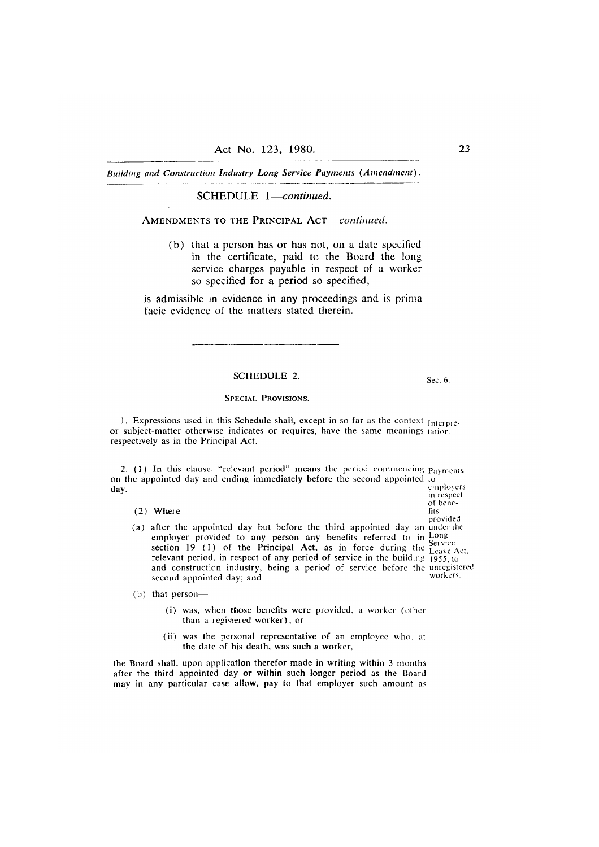# SCHEDULE 1-continued.

#### AMENDMENTS TO THE PRINCIPAL ACT-continued.

(b) that a person has or has not, on a date specified in the certificate, paid to the Board the long service charges payable in respect of a worker so specified for a period so specified,

is admissible in evidence in any proceedings and is prima facie evidence of the matters stated therein.

#### **SCHEDULE 2.**

Sec. 6.

of bene-

fits provided

#### **SPECIAL PROVISIONS.**

1. Expressions used in this Schedule shall, except in so far as the context Interpreor subject-matter otherwise indicates or requires, have the same meanings tation. respectively as in the Principal Act.

2. (1) In this clause, "relevant period" means the period commencing Payments on the appointed day and ending immediately before the second appointed to employers day. in respect

 $(2)$  Where-

- (a) after the appointed day but before the third appointed day an under the employer provided to any person any benefits referred to in Long<br>section 19 (1) of the Principal Act, as in force during the Leave Service Leave Act. relevant period, in respect of any period of service in the building 1955, to and construction industry, being a period of service before the unregistered workers. second appointed day; and
- (b) that person-
	- (i) was, when those benefits were provided, a worker (other than a registered worker); or
	- (ii) was the personal representative of an employee who, at the date of his death, was such a worker,

the Board shall, upon application therefor made in writing within 3 months after the third appointed day or within such longer period as the Board may in any particular case allow, pay to that employer such amount as 23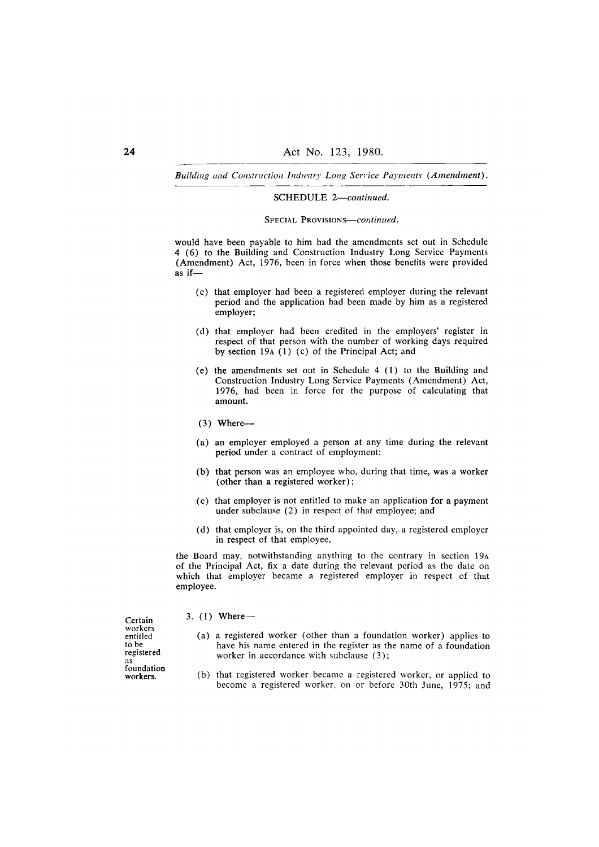#### SCHEDULE 2-continued.

#### SPECIAL PROVISIONS-continued.

would have been payable to him had the amendments set out in Schedule 4 (6) to the Building and Construction Industry Long Service Payments (Amendment) Act, 1976, been in force when those benefits were provided as if $-$ 

- (c) that employer had been a registered employer during the relevant period and the application had been made by him as a registered employer;
- (d) that employer had been credited in the employers' register in respect of that person with the number of working days required by section 19 $A(1)$  (c) of the Principal Act; and
- (e) the amendments set out in Schedule 4 (1) to the Building and Construction Industry Long Service Payments (Amendment) Act, 1976, had been in force for the purpose of calculating that amount.
- $(3)$  Where--
- (a) an employer employed a person at any time during the relevant period under a contract of employment;
- (b) that person was an employee who, during that time, was a worker (other than a registered worker);
- (c) that employer is not entitled to make an application for a payment under subclause (2) in respect of that employee; and
- (d) that employer is, on the third appointed day, a registered employer in respect of that employee,

the Board may, notwithstanding anything to the contrary in section 19A of the Principal Act, fix a date during the relevant period as the date on which that employer became a registered employer in respect of that employee.

Certain workers<br>entitled to be registered as foundation workers.

- 3.  $(1)$  Where--
	- (a) a registered worker (other than a foundation worker) applies to have his name entered in the register as the name of a foundation worker in accordance with subclause (3);
	- (b) that registered worker became a registered worker, or applied to become a registered worker, on or before 30th June, 1975; and